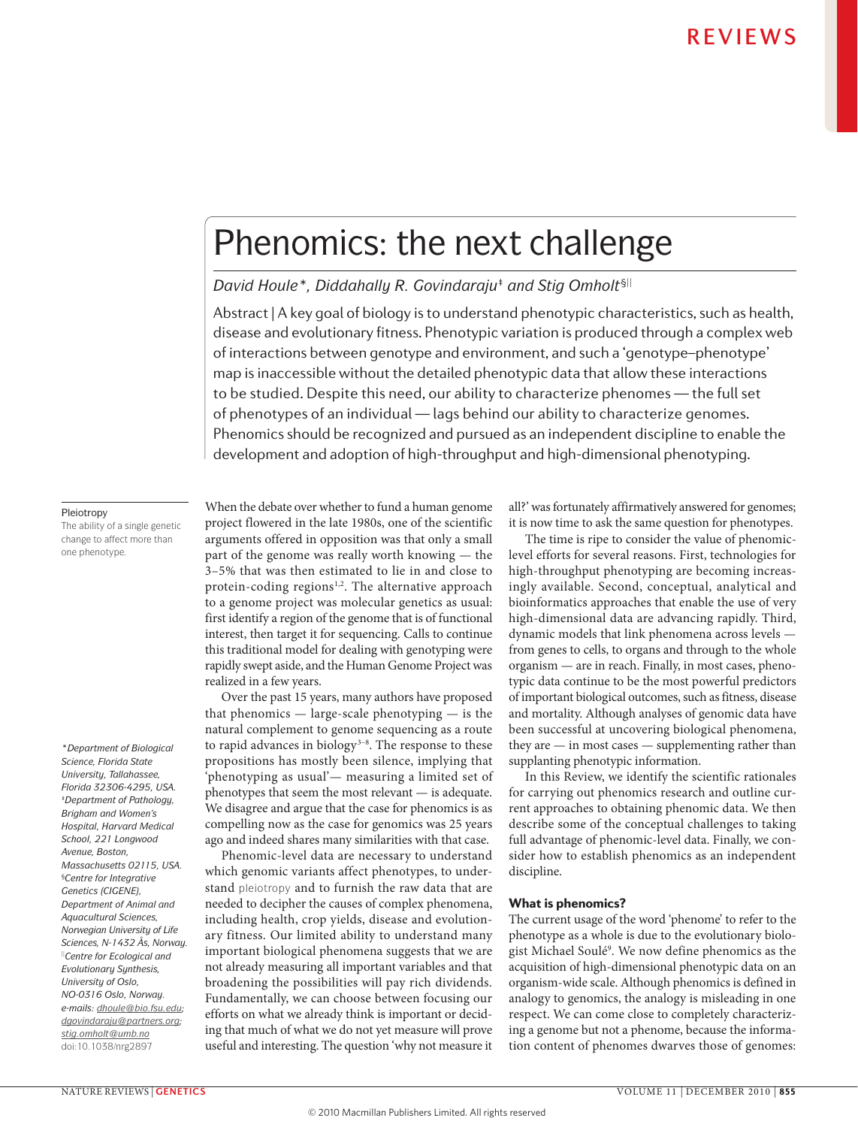# Phenomics: the next challenge

#### *David Houle\*, Diddahally R. Govindaraju‡ and Stig Omholt§||*

Abstract | A key goal of biology is to understand phenotypic characteristics, such as health, disease and evolutionary fitness. Phenotypic variation is produced through a complex web of interactions between genotype and environment, and such a 'genotype–phenotype' map is inaccessible without the detailed phenotypic data that allow these interactions to be studied. Despite this need, our ability to characterize phenomes — the full set of phenotypes of an individual — lags behind our ability to characterize genomes. Phenomics should be recognized and pursued as an independent discipline to enable the development and adoption of high-throughput and high-dimensional phenotyping.

#### Pleiotropy

The ability of a single genetic change to affect more than one phenotype.

*\*Department of Biological Science, Florida State University, Tallahassee, Florida 32306‑4295, USA. ‡Department of Pathology, Brigham and Women's Hospital, Harvard Medical School, 221 Longwood Avenue, Boston, Massachusetts 02115, USA. §Centre for Integrative Genetics (CIGENE), Department of Animal and Aquacultural Sciences, Norwegian University of Life Sciences, N‑1432 Ås, Norway. ||Centre for Ecological and Evolutionary Synthesis, University of Oslo, NO‑0316 Oslo, Norway. e‑mails: [dhoule@bio.fsu.edu](mailto:dhoule@bio.fsu.edu); [dgovindaraju@partners.org;](mailto:dgovindaraju@partners.org) [stig.omholt@umb.no](mailto:stig.omholt@umb.no)* doi:10.1038/nrg2897

When the debate over whether to fund a human genome project flowered in the late 1980s, one of the scientific arguments offered in opposition was that only a small part of the genome was really worth knowing — the 3–5% that was then estimated to lie in and close to protein-coding regions<sup>1,2</sup>. The alternative approach to a genome project was molecular genetics as usual: first identify a region of the genome that is of functional interest, then target it for sequencing. Calls to continue this traditional model for dealing with genotyping were rapidly swept aside, and the Human Genome Project was realized in a few years.

Over the past 15 years, many authors have proposed that phenomics — large-scale phenotyping — is the natural complement to genome sequencing as a route to rapid advances in biology<sup>3-8</sup>. The response to these propositions has mostly been silence, implying that 'phenotyping as usual'— measuring a limited set of phenotypes that seem the most relevant — is adequate. We disagree and argue that the case for phenomics is as compelling now as the case for genomics was 25 years ago and indeed shares many similarities with that case.

Phenomic-level data are necessary to understand which genomic variants affect phenotypes, to understand pleiotropy and to furnish the raw data that are needed to decipher the causes of complex phenomena, including health, crop yields, disease and evolutionary fitness. Our limited ability to understand many important biological phenomena suggests that we are not already measuring all important variables and that broadening the possibilities will pay rich dividends. Fundamentally, we can choose between focusing our efforts on what we already think is important or deciding that much of what we do not yet measure will prove useful and interesting. The question 'why not measure it

all?' was fortunately affirmatively answered for genomes; it is now time to ask the same question for phenotypes.

The time is ripe to consider the value of phenomiclevel efforts for several reasons. First, technologies for high-throughput phenotyping are becoming increasingly available. Second, conceptual, analytical and bioinformatics approaches that enable the use of very high-dimensional data are advancing rapidly. Third, dynamic models that link phenomena across levels from genes to cells, to organs and through to the whole organism — are in reach. Finally, in most cases, phenotypic data continue to be the most powerful predictors of important biological outcomes, such as fitness, disease and mortality. Although analyses of genomic data have been successful at uncovering biological phenomena, they are — in most cases — supplementing rather than supplanting phenotypic information.

In this Review, we identify the scientific rationales for carrying out phenomics research and outline current approaches to obtaining phenomic data. We then describe some of the conceptual challenges to taking full advantage of phenomic-level data. Finally, we consider how to establish phenomics as an independent discipline.

#### What is phenomics?

The current usage of the word 'phenome' to refer to the phenotype as a whole is due to the evolutionary biologist Michael Soulé<sup>9</sup>. We now define phenomics as the acquisition of high-dimensional phenotypic data on an organism-wide scale. Although phenomics is defined in analogy to genomics, the analogy is misleading in one respect. We can come close to completely characterizing a genome but not a phenome, because the information content of phenomes dwarves those of genomes: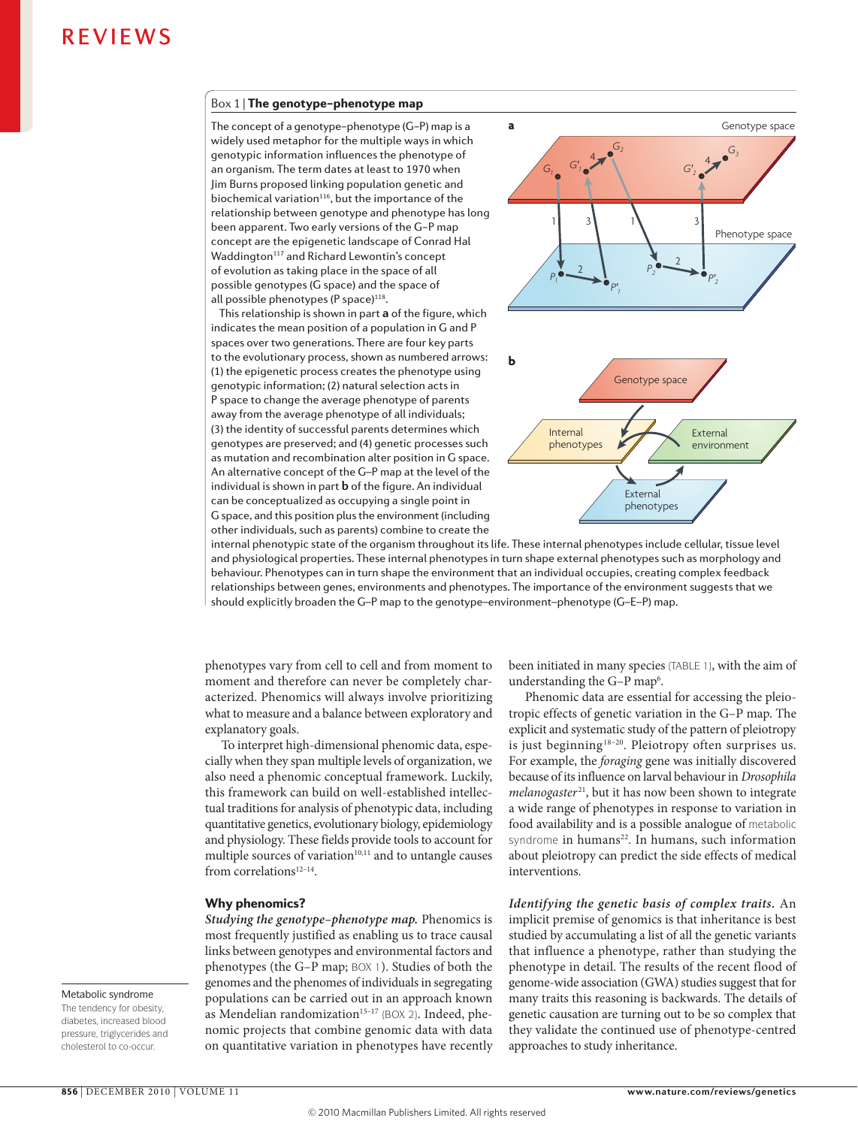#### Box 1 | The genotype−phenotype map

The concept of a genotype−phenotype (G−P) map is a widely used metaphor for the multiple ways in which genotypic information influences the phenotype of an organism. The term dates at least to 1970 when Jim Burns proposed linking population genetic and biochemical variation $116$ , but the importance of the relationship between genotype and phenotype has long been apparent. Two early versions of the G−P map concept are the epigenetic landscape of Conrad Hal Waddington<sup>117</sup> and Richard Lewontin's concept of evolution as taking place in the space of all possible genotypes (G space) and the space of all possible phenotypes ( $P$  space) $118$ .

This relationship is shown in part **a** of the figure, which indicates the mean position of a population in G and P spaces over two generations. There are four key parts to the evolutionary process, shown as numbered arrows: (1) the epigenetic process creates the phenotype using genotypic information; (2) natural selection acts in P space to change the average phenotype of parents away from the average phenotype of all individuals; (3) the identity of successful parents determines which genotypes are preserved; and (4) genetic processes such as mutation and recombination alter position in G space. An alternative concept of the G–P map at the level of the individual is shown in part **b** of the figure. An individual can be conceptualized as occupying a single point in G space, and this position plus the environment (including other individuals, such as parents) combine to create the



**Nature Reviews** | **Genetics** and physiological properties. These internal phenotypes in turn shape external phenotypes such as morphology and internal phenotypic state of the organism throughout its life. These internal phenotypes include cellular, tissue level behaviour. Phenotypes can in turn shape the environment that an individual occupies, creating complex feedback relationships between genes, environments and phenotypes. The importance of the environment suggests that we should explicitly broaden the G–P map to the genotype–environment–phenotype (G–E–P) map.

phenotypes vary from cell to cell and from moment to moment and therefore can never be completely characterized. Phenomics will always involve prioritizing what to measure and a balance between exploratory and explanatory goals.

To interpret high-dimensional phenomic data, especially when they span multiple levels of organization, we also need a phenomic conceptual framework. luckily, this framework can build on well-established intellectual traditions for analysis of phenotypic data, including quantitative genetics, evolutionary biology, epidemiology and physiology. These fields provide tools to account for multiple sources of variation<sup>10,11</sup> and to untangle causes from correlations $12-14$ .

#### Why phenomics?

*Studying the genotype–phenotype map.* Phenomics is most frequently justified as enabling us to trace causal links between genotypes and environmental factors and phenotypes (the G–P map; BOX 1). Studies of both the genomes and the phenomes of individuals in segregating populations can be carried out in an approach known as Mendelian randomization<sup>15-17</sup> (BOX 2). Indeed, phenomic projects that combine genomic data with data on quantitative variation in phenotypes have recently been initiated in many species (TABLE 1), with the aim of understanding the G-P map<sup>6</sup>.

Phenomic data are essential for accessing the pleiotropic effects of genetic variation in the G–P map. The explicit and systematic study of the pattern of pleiotropy is just beginning<sup>18-20</sup>. Pleiotropy often surprises us. For example, the *foraging* gene was initially discovered because of its influence on larval behaviour in *Drosophila melanogaster*<sup>21</sup>, but it has now been shown to integrate a wide range of phenotypes in response to variation in food availability and is a possible analogue of metabolic syndrome in humans<sup>22</sup>. In humans, such information about pleiotropy can predict the side effects of medical interventions.

*Identifying the genetic basis of complex traits.* An implicit premise of genomics is that inheritance is best studied by accumulating a list of all the genetic variants that influence a phenotype, rather than studying the phenotype in detail. The results of the recent flood of genome-wide association (GWA) studies suggest that for many traits this reasoning is backwards. The details of genetic causation are turning out to be so complex that they validate the continued use of phenotype-centred approaches to study inheritance.

#### Metabolic syndrome

The tendency for obesity, diabetes, increased blood pressure, triglycerides and cholesterol to co-occur.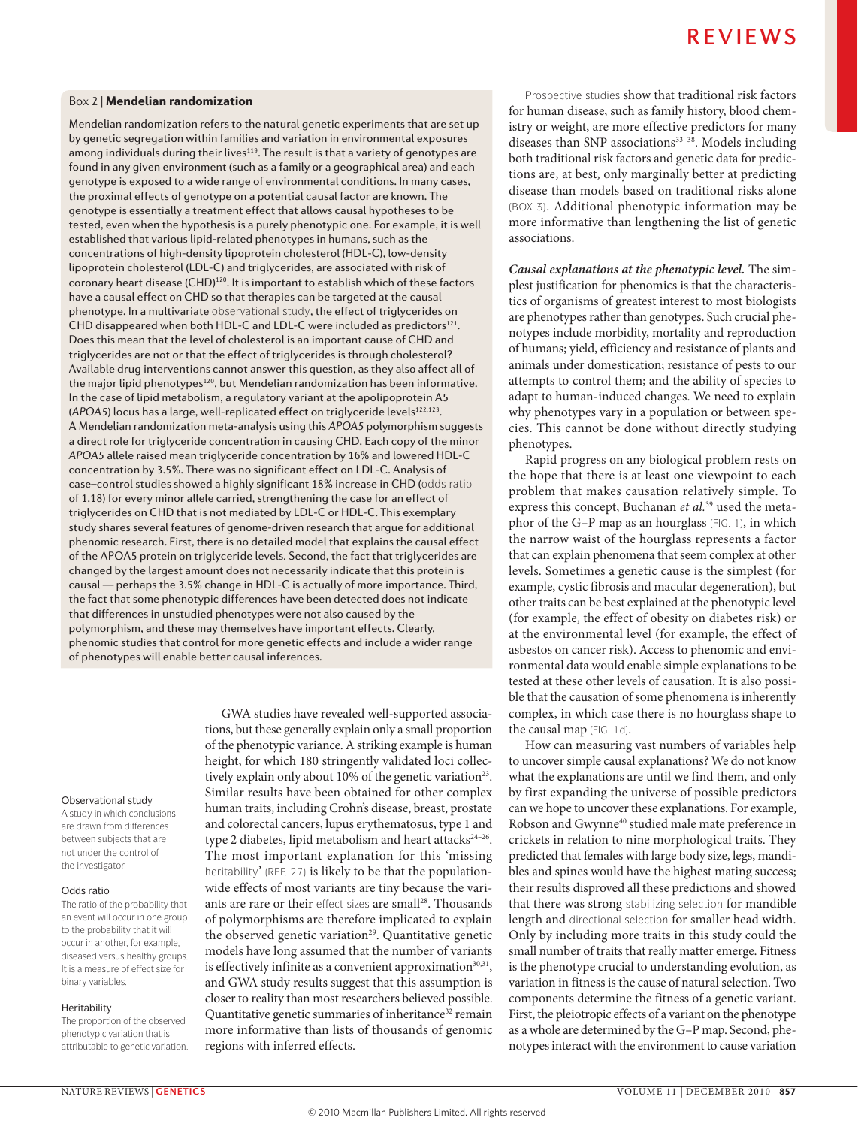#### Box 2 | Mendelian randomization

Mendelian randomization refers to the natural genetic experiments that are set up by genetic segregation within families and variation in environmental exposures among individuals during their lives<sup>119</sup>. The result is that a variety of genotypes are found in any given environment (such as a family or a geographical area) and each genotype is exposed to a wide range of environmental conditions. In many cases, the proximal effects of genotype on a potential causal factor are known. The genotype is essentially a treatment effect that allows causal hypotheses to be tested, even when the hypothesis is a purely phenotypic one. For example, it is well established that various lipid-related phenotypes in humans, such as the concentrations of high-density lipoprotein cholesterol (HDL-C), low-density lipoprotein cholesterol (LDL-C) and triglycerides, are associated with risk of coronary heart disease (CHD)<sup>120</sup>. It is important to establish which of these factors have a causal effect on CHD so that therapies can be targeted at the causal phenotype. In a multivariate observational study, the effect of triglycerides on CHD disappeared when both HDL-C and LDL-C were included as predictors<sup>121</sup>. Does this mean that the level of cholesterol is an important cause of CHD and triglycerides are not or that the effect of triglycerides is through cholesterol? Available drug interventions cannot answer this question, as they also affect all of the major lipid phenotypes<sup>120</sup>, but Mendelian randomization has been informative. In the case of lipid metabolism, a regulatory variant at the apolipoprotein A5 (*APOA5*) locus has a large, well-replicated effect on triglyceride levels<sup>122,123</sup>. A Mendelian randomization meta-analysis using this *APOA5* polymorphism suggests a direct role for triglyceride concentration in causing CHD. Each copy of the minor *APOA5* allele raised mean triglyceride concentration by 16% and lowered HDL-C concentration by 3.5%. There was no significant effect on LDL-C. Analysis of case–control studies showed a highly significant 18% increase in CHD (odds ratio of 1.18) for every minor allele carried, strengthening the case for an effect of triglycerides on CHD that is not mediated by LDL-C or HDL-C. This exemplary study shares several features of genome-driven research that argue for additional phenomic research. First, there is no detailed model that explains the causal effect of the APOA5 protein on triglyceride levels. Second, the fact that triglycerides are changed by the largest amount does not necessarily indicate that this protein is causal — perhaps the 3.5% change in HDL-C is actually of more importance. Third, the fact that some phenotypic differences have been detected does not indicate that differences in unstudied phenotypes were not also caused by the polymorphism, and these may themselves have important effects. Clearly, phenomic studies that control for more genetic effects and include a wider range of phenotypes will enable better causal inferences.

#### Observational study

A study in which conclusions are drawn from differences between subjects that are not under the control of the investigator.

#### Odds ratio

The ratio of the probability that an event will occur in one group to the probability that it will occur in another, for example, diseased versus healthy groups. It is a measure of effect size for binary variables.

#### Heritability

The proportion of the observed phenotypic variation that is attributable to genetic variation.

GWA studies have revealed well-supported associations, but these generally explain only a small proportion of the phenotypic variance. A striking example is human height, for which 180 stringently validated loci collectively explain only about 10% of the genetic variation<sup>23</sup>. Similar results have been obtained for other complex human traits, including Crohn's disease, breast, prostate and colorectal cancers, lupus erythematosus, type 1 and type 2 diabetes, lipid metabolism and heart attacks<sup>24-26</sup>. The most important explanation for this 'missing heritability' (REF. 27) is likely to be that the populationwide effects of most variants are tiny because the variants are rare or their effect sizes are small<sup>28</sup>. Thousands of polymorphisms are therefore implicated to explain the observed genetic variation<sup>29</sup>. Quantitative genetic models have long assumed that the number of variants is effectively infinite as a convenient approximation<sup>30,31</sup>, and GWA study results suggest that this assumption is closer to reality than most researchers believed possible. Quantitative genetic summaries of inheritance<sup>32</sup> remain more informative than lists of thousands of genomic regions with inferred effects.

Prospective studies show that traditional risk factors for human disease, such as family history, blood chemistry or weight, are more effective predictors for many diseases than SNP associations<sup>33-38</sup>. Models including both traditional risk factors and genetic data for predictions are, at best, only marginally better at predicting disease than models based on traditional risks alone (BOX 3). Additional phenotypic information may be more informative than lengthening the list of genetic associations.

*Causal explanations at the phenotypic level.* The simplest justification for phenomics is that the characteristics of organisms of greatest interest to most biologists are phenotypes rather than genotypes. Such crucial phenotypes include morbidity, mortality and reproduction of humans; yield, efficiency and resistance of plants and animals under domestication; resistance of pests to our attempts to control them; and the ability of species to adapt to human-induced changes. We need to explain why phenotypes vary in a population or between species. This cannot be done without directly studying phenotypes.

Rapid progress on any biological problem rests on the hope that there is at least one viewpoint to each problem that makes causation relatively simple. To express this concept, buchanan *et al.*39 used the metaphor of the G–P map as an hourglass (FIG. 1), in which the narrow waist of the hourglass represents a factor that can explain phenomena that seem complex at other levels. Sometimes a genetic cause is the simplest (for example, cystic fibrosis and macular degeneration), but other traits can be best explained at the phenotypic level (for example, the effect of obesity on diabetes risk) or at the environmental level (for example, the effect of asbestos on cancer risk). Access to phenomic and environmental data would enable simple explanations to be tested at these other levels of causation. It is also possible that the causation of some phenomena is inherently complex, in which case there is no hourglass shape to the causal map (FIG. 1d).

How can measuring vast numbers of variables help to uncover simple causal explanations? We do not know what the explanations are until we find them, and only by first expanding the universe of possible predictors can we hope to uncover these explanations. For example, Robson and Gwynne<sup>40</sup> studied male mate preference in crickets in relation to nine morphological traits. They predicted that females with large body size, legs, mandibles and spines would have the highest mating success; their results disproved all these predictions and showed that there was strong stabilizing selection for mandible length and directional selection for smaller head width. Only by including more traits in this study could the small number of traits that really matter emerge. Fitness is the phenotype crucial to understanding evolution, as variation in fitness is the cause of natural selection. Two components determine the fitness of a genetic variant. First, the pleiotropic effects of a variant on the phenotype as a whole are determined by the G–P map. Second, phenotypes interact with the environment to cause variation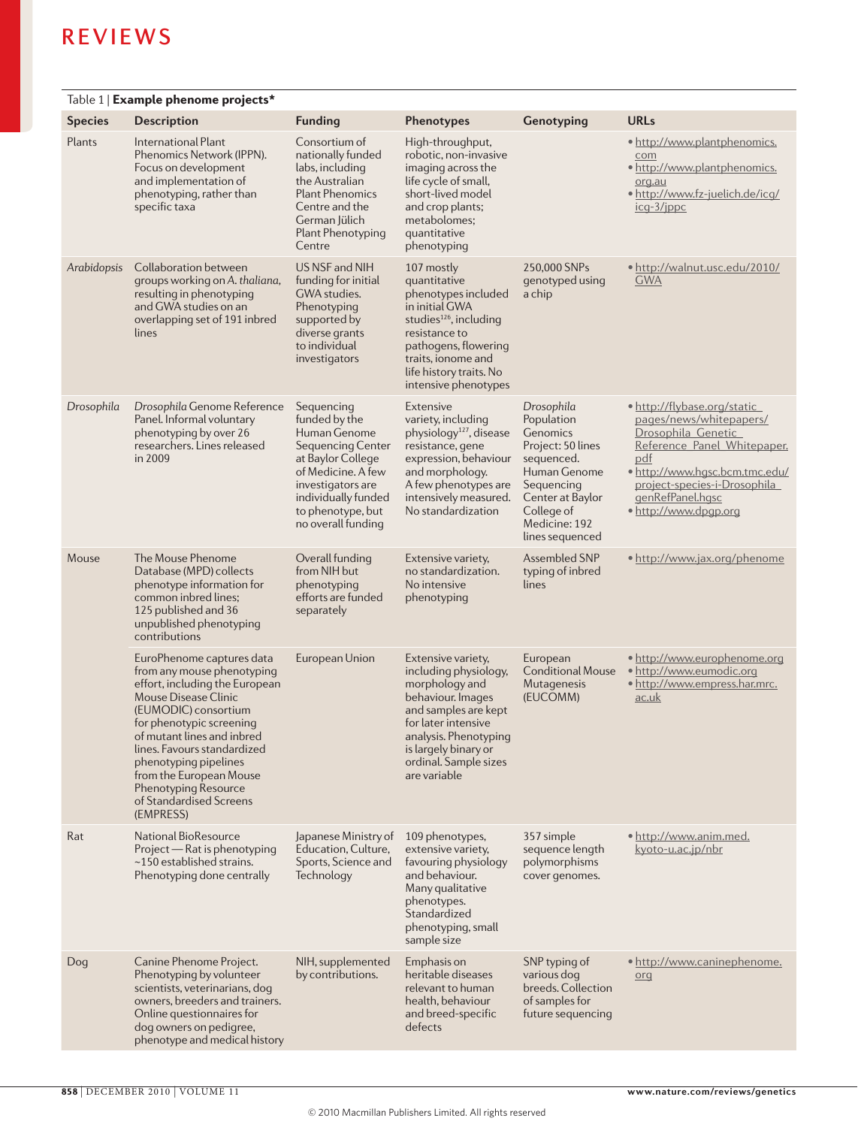| Table 1   Example phenome projects* |                                                                                                                                                                                                                                                                                                                                                               |                                                                                                                                                                                                    |                                                                                                                                                                                                                             |                                                                                                                                                                             |                                                                                                                                                                                                                                    |
|-------------------------------------|---------------------------------------------------------------------------------------------------------------------------------------------------------------------------------------------------------------------------------------------------------------------------------------------------------------------------------------------------------------|----------------------------------------------------------------------------------------------------------------------------------------------------------------------------------------------------|-----------------------------------------------------------------------------------------------------------------------------------------------------------------------------------------------------------------------------|-----------------------------------------------------------------------------------------------------------------------------------------------------------------------------|------------------------------------------------------------------------------------------------------------------------------------------------------------------------------------------------------------------------------------|
| <b>Species</b>                      | <b>Description</b>                                                                                                                                                                                                                                                                                                                                            | <b>Funding</b>                                                                                                                                                                                     | Phenotypes                                                                                                                                                                                                                  | Genotyping                                                                                                                                                                  | <b>URLs</b>                                                                                                                                                                                                                        |
| Plants                              | International Plant<br>Phenomics Network (IPPN).<br>Focus on development<br>and implementation of<br>phenotyping, rather than<br>specific taxa                                                                                                                                                                                                                | Consortium of<br>nationally funded<br>labs, including<br>the Australian<br><b>Plant Phenomics</b><br>Centre and the<br>German Jülich<br>Plant Phenotyping<br>Centre                                | High-throughput,<br>robotic, non-invasive<br>imaging across the<br>life cycle of small,<br>short-lived model<br>and crop plants;<br>metabolomes;<br>quantitative<br>phenotyping                                             |                                                                                                                                                                             | · http://www.plantphenomics.<br>com<br>· http://www.plantphenomics.<br>org.au<br>· http://www.fz-juelich.de/icg/<br>$i$ cg- $3$ /jppc                                                                                              |
| Arabidopsis                         | Collaboration between<br>groups working on A. thaliana,<br>resulting in phenotyping<br>and GWA studies on an<br>overlapping set of 191 inbred<br>lines                                                                                                                                                                                                        | US NSF and NIH<br>funding for initial<br>GWA studies.<br>Phenotyping<br>supported by<br>diverse grants<br>to individual<br>investigators                                                           | 107 mostly<br>quantitative<br>phenotypes included<br>in initial GWA<br>studies <sup>126</sup> , including<br>resistance to<br>pathogens, flowering<br>traits, ionome and<br>life history traits. No<br>intensive phenotypes | 250,000 SNPs<br>genotyped using<br>a chip                                                                                                                                   | · http://walnut.usc.edu/2010/<br><b>GWA</b>                                                                                                                                                                                        |
| Drosophila                          | Drosophila Genome Reference<br>Panel. Informal voluntary<br>phenotyping by over 26<br>researchers. Lines released<br>in 2009                                                                                                                                                                                                                                  | Sequencing<br>funded by the<br>Human Genome<br>Sequencing Center<br>at Baylor College<br>of Medicine. A few<br>investigators are<br>individually funded<br>to phenotype, but<br>no overall funding | Extensive<br>variety, including<br>physiology <sup>127</sup> , disease<br>resistance, gene<br>expression, behaviour<br>and morphology.<br>A few phenotypes are<br>intensively measured.<br>No standardization               | Drosophila<br>Population<br>Genomics<br>Project: 50 lines<br>sequenced.<br>Human Genome<br>Sequencing<br>Center at Baylor<br>College of<br>Medicine: 192<br>lines sequenced | • http://flybase.org/static_<br>pages/news/whitepapers/<br>Drosophila Genetic<br>Reference Panel Whitepaper.<br>pdf<br>· http://www.hgsc.bcm.tmc.edu/<br>project-species-i-Drosophila<br>genRefPanel.hgsc<br>• http://www.dpgp.org |
| Mouse                               | The Mouse Phenome<br>Database (MPD) collects<br>phenotype information for<br>common inbred lines;<br>125 published and 36<br>unpublished phenotyping<br>contributions                                                                                                                                                                                         | Overall funding<br>from NIH but<br>phenotyping<br>efforts are funded<br>separately                                                                                                                 | Extensive variety,<br>no standardization.<br>No intensive<br>phenotyping                                                                                                                                                    | Assembled SNP<br>typing of inbred<br>lines                                                                                                                                  | · http://www.jax.org/phenome                                                                                                                                                                                                       |
|                                     | EuroPhenome captures data<br>from any mouse phenotyping<br>effort, including the European<br>Mouse Disease Clinic<br>(EUMODIC) consortium<br>for phenotypic screening<br>of mutant lines and inbred<br>lines. Favours standardized<br>phenotyping pipelines<br>from the European Mouse<br><b>Phenotyping Resource</b><br>of Standardised Screens<br>(EMPRESS) | European Union                                                                                                                                                                                     | Extensive variety,<br>including physiology,<br>morphology and<br>behaviour. Images<br>and samples are kept<br>for later intensive<br>analysis. Phenotyping<br>is largely binary or<br>ordinal. Sample sizes<br>are variable | European<br><b>Conditional Mouse</b><br>Mutagenesis<br>(EUCOMM)                                                                                                             | · http://www.europhenome.org<br>• http://www.eumodic.org<br>• http://www.empress.har.mrc.<br>ac.uk                                                                                                                                 |
| Rat                                 | National BioResource<br>Project - Rat is phenotyping<br>$\sim$ 150 established strains.<br>Phenotyping done centrally                                                                                                                                                                                                                                         | Japanese Ministry of<br>Education, Culture,<br>Sports, Science and<br>Technology                                                                                                                   | 109 phenotypes,<br>extensive variety,<br>favouring physiology<br>and behaviour.<br>Many qualitative<br>phenotypes.<br>Standardized<br>phenotyping, small<br>sample size                                                     | 357 simple<br>sequence length<br>polymorphisms<br>cover genomes.                                                                                                            | · http://www.anim.med.<br>kyoto-u.ac.jp/nbr                                                                                                                                                                                        |
| Dog                                 | Canine Phenome Project.<br>Phenotyping by volunteer<br>scientists, veterinarians, dog<br>owners, breeders and trainers.<br>Online questionnaires for<br>dog owners on pedigree,<br>phenotype and medical history                                                                                                                                              | NIH, supplemented<br>by contributions.                                                                                                                                                             | Emphasis on<br>heritable diseases<br>relevant to human<br>health, behaviour<br>and breed-specific<br>defects                                                                                                                | SNP typing of<br>various dog<br>breeds. Collection<br>of samples for<br>future sequencing                                                                                   | • http://www.caninephenome.<br>org                                                                                                                                                                                                 |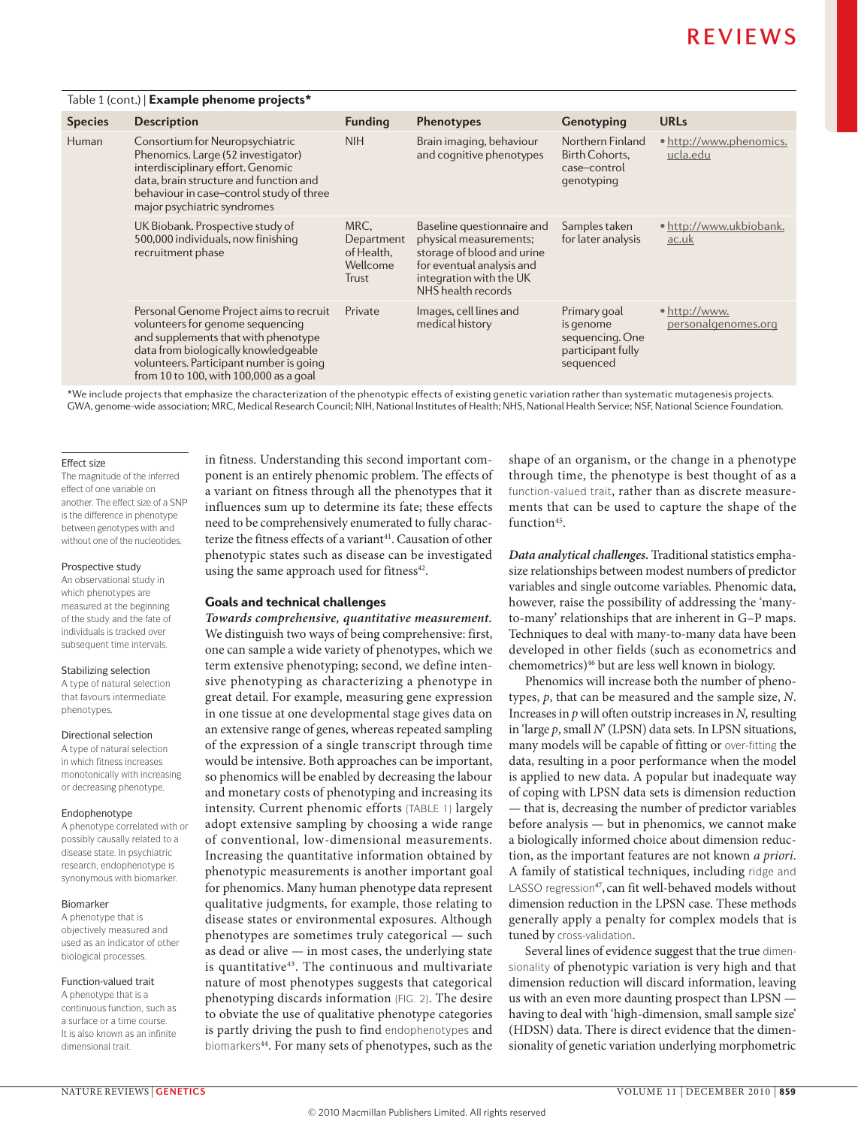| Table 1 (cont.)   <b>Example phenome projects*</b> |                                                                                                                                                                                                                                                 |                                                       |                                                                                                                                                                  |                                                                                |                                         |
|----------------------------------------------------|-------------------------------------------------------------------------------------------------------------------------------------------------------------------------------------------------------------------------------------------------|-------------------------------------------------------|------------------------------------------------------------------------------------------------------------------------------------------------------------------|--------------------------------------------------------------------------------|-----------------------------------------|
| <b>Species</b>                                     | <b>Description</b>                                                                                                                                                                                                                              | <b>Funding</b>                                        | <b>Phenotypes</b>                                                                                                                                                | Genotyping                                                                     | <b>URLs</b>                             |
| Human                                              | Consortium for Neuropsychiatric<br>Phenomics. Large (52 investigator)<br>interdisciplinary effort. Genomic<br>data, brain structure and function and<br>behaviour in case-control study of three<br>major psychiatric syndromes                 | <b>NIH</b>                                            | Brain imaging, behaviour<br>and cognitive phenotypes                                                                                                             | Northern Finland<br><b>Birth Cohorts,</b><br>case-control<br>genotyping        | • http://www.phenomics.<br>ucla.edu     |
|                                                    | UK Biobank. Prospective study of<br>500,000 individuals, now finishing<br>recruitment phase                                                                                                                                                     | MRC.<br>Department<br>of Health,<br>Wellcome<br>Trust | Baseline questionnaire and<br>physical measurements;<br>storage of blood and urine<br>for eventual analysis and<br>integration with the UK<br>NHS health records | Samples taken<br>for later analysis                                            | · http://www.ukbiobank.<br><u>ac.uk</u> |
|                                                    | Personal Genome Project aims to recruit<br>volunteers for genome sequencing<br>and supplements that with phenotype<br>data from biologically knowledgeable<br>volunteers. Participant number is going<br>from 10 to 100, with 100,000 as a goal | Private                                               | Images, cell lines and<br>medical history                                                                                                                        | Primary goal<br>is genome<br>sequencing. One<br>participant fully<br>sequenced | • http://www.<br>personalgenomes.org    |

\*We include projects that emphasize the characterization of the phenotypic effects of existing genetic variation rather than systematic mutagenesis projects. GWA, genome-wide association; MRC, Medical Research Council; NIH, National Institutes of Health; NHS, National Health Service; NSF, National Science Foundation.

#### Effect size

The magnitude of the inferred effect of one variable on another. The effect size of a SNP is the difference in phenotype between genotypes with and without one of the nucleotides.

#### Prospective study

An observational study in which phenotypes are measured at the beginning of the study and the fate of individuals is tracked over subsequent time intervals.

#### Stabilizing selection

A type of natural selection that favours intermediate phenotypes.

#### Directional selection

A type of natural selection in which fitness increases monotonically with increasing or decreasing phenotype.

#### Endophenotype

A phenotype correlated with or possibly causally related to a disease state. In psychiatric research, endophenotype is synonymous with biomarker.

#### Biomarker

A phenotype that is objectively measured and used as an indicator of other biological processes.

#### Function-valued trait

A phenotype that is a continuous function, such as a surface or a time course. It is also known as an infinite dimensional trait.

in fitness. Understanding this second important component is an entirely phenomic problem. The effects of a variant on fitness through all the phenotypes that it influences sum up to determine its fate; these effects need to be comprehensively enumerated to fully characterize the fitness effects of a variant<sup>41</sup>. Causation of other phenotypic states such as disease can be investigated using the same approach used for fitness<sup>42</sup>.

#### Goals and technical challenges

*Towards comprehensive, quantitative measurement.*  We distinguish two ways of being comprehensive: first, one can sample a wide variety of phenotypes, which we term extensive phenotyping; second, we define intensive phenotyping as characterizing a phenotype in great detail. For example, measuring gene expression in one tissue at one developmental stage gives data on an extensive range of genes, whereas repeated sampling of the expression of a single transcript through time would be intensive. Both approaches can be important, so phenomics will be enabled by decreasing the labour and monetary costs of phenotyping and increasing its intensity. Current phenomic efforts (TABLE 1) largely adopt extensive sampling by choosing a wide range of conventional, low-dimensional measurements. Increasing the quantitative information obtained by phenotypic measurements is another important goal for phenomics. Many human phenotype data represent qualitative judgments, for example, those relating to disease states or environmental exposures. Although phenotypes are sometimes truly categorical — such as dead or alive — in most cases, the underlying state is quantitative<sup>43</sup>. The continuous and multivariate nature of most phenotypes suggests that categorical phenotyping discards information (FIG. 2). The desire to obviate the use of qualitative phenotype categories is partly driving the push to find endophenotypes and biomarkers<sup>44</sup>. For many sets of phenotypes, such as the shape of an organism, or the change in a phenotype through time, the phenotype is best thought of as a function-valued trait, rather than as discrete measurements that can be used to capture the shape of the function<sup>45</sup>.

*Data analytical challenges.* Traditional statistics emphasize relationships between modest numbers of predictor variables and single outcome variables. Phenomic data, however, raise the possibility of addressing the 'manyto-many' relationships that are inherent in G–P maps. Techniques to deal with many-to-many data have been developed in other fields (such as econometrics and chemometrics)46 but are less well known in biology.

Phenomics will increase both the number of phenotypes, *p*, that can be measured and the sample size, *N*. Increases in *p* will often outstrip increases in *N,* resulting in 'large *p*, small *N*' (LPSN) data sets. In LPSN situations, many models will be capable of fitting or over-fitting the data, resulting in a poor performance when the model is applied to new data. A popular but inadequate way of coping with lPSn data sets is dimension reduction — that is, decreasing the number of predictor variables before analysis — but in phenomics, we cannot make a biologically informed choice about dimension reduction, as the important features are not known *a priori*. A family of statistical techniques, including ridge and LASSO regression<sup>47</sup>, can fit well-behaved models without dimension reduction in the LPSN case. These methods generally apply a penalty for complex models that is tuned by cross-validation.

Several lines of evidence suggest that the true dimensionality of phenotypic variation is very high and that dimension reduction will discard information, leaving us with an even more daunting prospect than lPSn having to deal with 'high-dimension, small sample size' (HDSN) data. There is direct evidence that the dimensionality of genetic variation underlying morphometric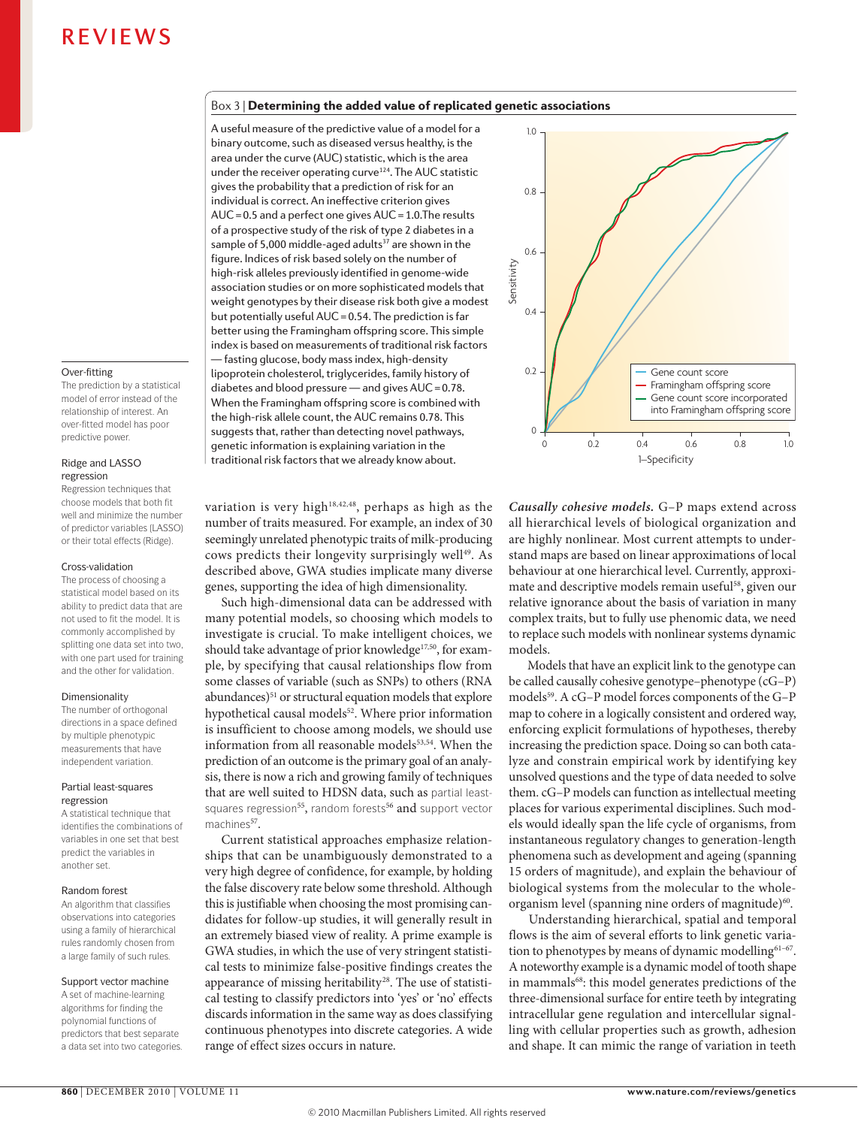#### Box 3 | Determining the added value of replicated genetic associations

#### Over-fitting

The prediction by a statistical model of error instead of the relationship of interest. An over-fitted model has poor predictive power.

#### Ridge and LASSO regression

#### Regression techniques that

choose models that both fit well and minimize the number of predictor variables (LASSO) or their total effects (Ridge).

#### Cross-validation

The process of choosing a statistical model based on its ability to predict data that are not used to fit the model. It is commonly accomplished by splitting one data set into two, with one part used for training and the other for validation.

#### Dimensionality

The number of orthogonal directions in a space defined by multiple phenotypic measurements that have independent variation.

#### Partial least-squares regression

A statistical technique that identifies the combinations of variables in one set that best predict the variables in another set.

#### Random forest

An algorithm that classifies observations into categories using a family of hierarchical rules randomly chosen from a large family of such rules.

#### Support vector machine

A set of machine-learning algorithms for finding the polynomial functions of predictors that best separate a data set into two categories.

A useful measure of the predictive value of a model for a binary outcome, such as diseased versus healthy, is the area under the curve (AUC) statistic, which is the area under the receiver operating curve<sup>124</sup>. The AUC statistic gives the probability that a prediction of risk for an individual is correct. An ineffective criterion gives AUC=0.5 and a perfect one gives AUC=1.0.The results of a prospective study of the risk of type 2 diabetes in a sample of 5,000 middle-aged adults $37$  are shown in the figure. Indices of risk based solely on the number of high-risk alleles previously identified in genome-wide association studies or on more sophisticated models that weight genotypes by their disease risk both give a modest but potentially useful AUC = 0.54. The prediction is far better using the Framingham offspring score. This simple index is based on measurements of traditional risk factors — fasting glucose, body mass index, high-density lipoprotein cholesterol, triglycerides, family history of diabetes and blood pressure — and gives AUC = 0.78. When the Framingham offspring score is combined with the high-risk allele count, the AUC remains 0.78. This suggests that, rather than detecting novel pathways, genetic information is explaining variation in the traditional risk factors that we already know about.

variation is very high<sup>18,42,48</sup>, perhaps as high as the number of traits measured. For example, an index of 30 seemingly unrelated phenotypic traits of milk-producing cows predicts their longevity surprisingly well<sup>49</sup>. As described above, GWA studies implicate many diverse genes, supporting the idea of high dimensionality.

Such high-dimensional data can be addressed with many potential models, so choosing which models to investigate is crucial. To make intelligent choices, we should take advantage of prior knowledge<sup>17,50</sup>, for example, by specifying that causal relationships flow from some classes of variable (such as SNPs) to others (RNA abundances)<sup>51</sup> or structural equation models that explore hypothetical causal models<sup>52</sup>. Where prior information is insufficient to choose among models, we should use information from all reasonable models<sup>53,54</sup>. When the prediction of an outcome is the primary goal of an analysis, there is now a rich and growing family of techniques that are well suited to HDSN data, such as partial leastsquares regression<sup>55</sup>, random forests<sup>56</sup> and support vector machines<sup>57</sup>.

Current statistical approaches emphasize relationships that can be unambiguously demonstrated to a very high degree of confidence, for example, by holding the false discovery rate below some threshold. Although this is justifiable when choosing the most promising candidates for follow-up studies, it will generally result in an extremely biased view of reality. A prime example is GWA studies, in which the use of very stringent statistical tests to minimize false-positive findings creates the appearance of missing heritability<sup>28</sup>. The use of statistical testing to classify predictors into 'yes' or 'no' effects discards information in the same way as does classifying continuous phenotypes into discrete categories. A wide range of effect sizes occurs in nature.



*Causally cohesive models.* G–P maps extend across all hierarchical levels of biological organization and are highly nonlinear. Most current attempts to understand maps are based on linear approximations of local behaviour at one hierarchical level. Currently, approximate and descriptive models remain useful<sup>58</sup>, given our relative ignorance about the basis of variation in many complex traits, but to fully use phenomic data, we need to replace such models with nonlinear systems dynamic models.

 Models that have an explicit link to the genotype can be called causally cohesive genotype–phenotype (cG–P) models<sup>59</sup>. A cG–P model forces components of the G–P map to cohere in a logically consistent and ordered way, enforcing explicit formulations of hypotheses, thereby increasing the prediction space. Doing so can both catalyze and constrain empirical work by identifying key unsolved questions and the type of data needed to solve them. cG–P models can function as intellectual meeting places for various experimental disciplines. Such models would ideally span the life cycle of organisms, from instantaneous regulatory changes to generation-length phenomena such as development and ageing (spanning 15 orders of magnitude), and explain the behaviour of biological systems from the molecular to the wholeorganism level (spanning nine orders of magnitude)<sup>60</sup>.

Understanding hierarchical, spatial and temporal flows is the aim of several efforts to link genetic variation to phenotypes by means of dynamic modelling<sup>61-67</sup>. A noteworthy example is a dynamic model of tooth shape in mammals<sup>68</sup>: this model generates predictions of the three-dimensional surface for entire teeth by integrating intracellular gene regulation and intercellular signalling with cellular properties such as growth, adhesion and shape. It can mimic the range of variation in teeth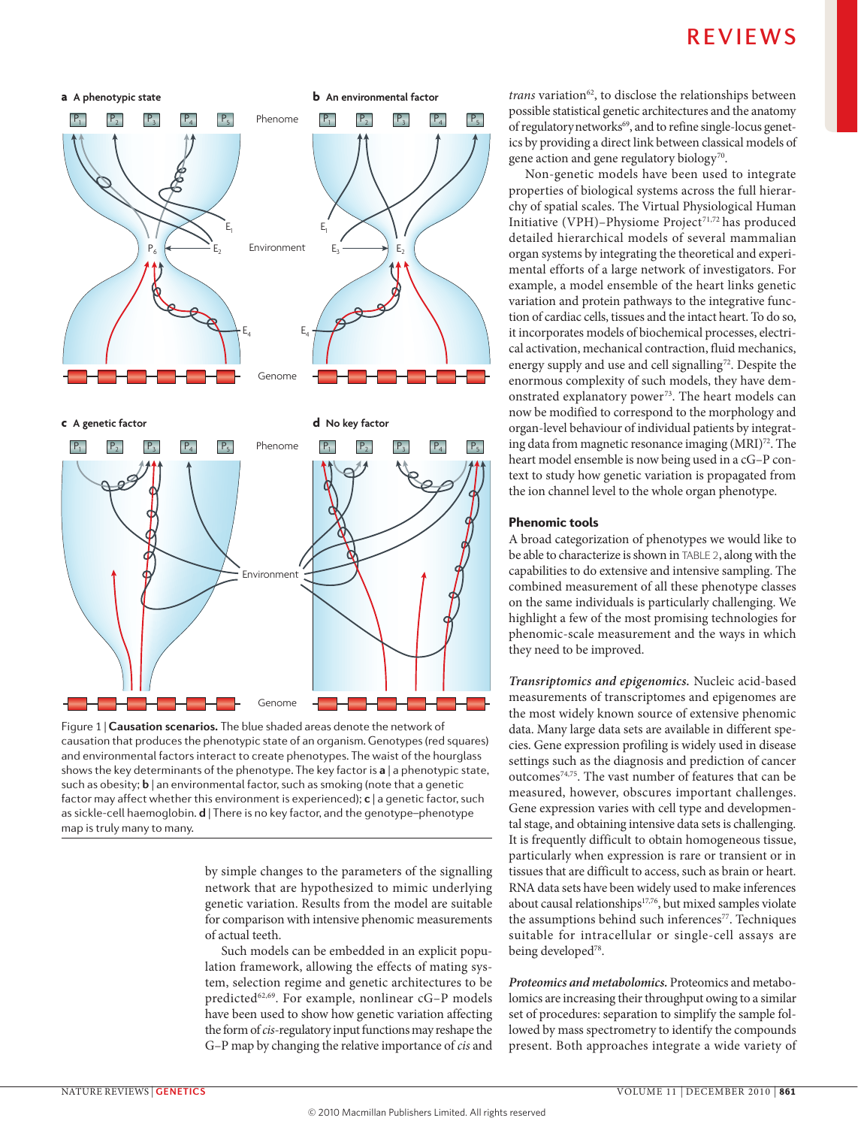

**Nature Reviews** | **Genetics** causation that produces the phenotypic state of an organism. Genotypes (red squares) Figure 1 | **causation scenarios.** The blue shaded areas denote the network of and environmental factors interact to create phenotypes. The waist of the hourglass shows the key determinants of the phenotype. The key factor is **a** | a phenotypic state, such as obesity; **b** | an environmental factor, such as smoking (note that a genetic factor may affect whether this environment is experienced); **c** | a genetic factor, such as sickle-cell haemoglobin. **d** | There is no key factor, and the genotype–phenotype map is truly many to many.

by simple changes to the parameters of the signalling network that are hypothesized to mimic underlying genetic variation. Results from the model are suitable for comparison with intensive phenomic measurements of actual teeth.

Such models can be embedded in an explicit population framework, allowing the effects of mating system, selection regime and genetic architectures to be predicted<sup>62,69</sup>. For example, nonlinear cG-P models have been used to show how genetic variation affecting the form of *cis*-regulatory input functions may reshape the G–P map by changing the relative importance of *cis* and

trans variation<sup>62</sup>, to disclose the relationships between possible statistical genetic architectures and the anatomy of regulatory networks<sup>69</sup>, and to refine single-locus genetics by providing a direct link between classical models of gene action and gene regulatory biology<sup>70</sup>.

Non-genetic models have been used to integrate properties of biological systems across the full hierarchy of spatial scales. The virtual Physiological Human Initiative (VPH)–Physiome Project<sup>71,72</sup> has produced detailed hierarchical models of several mammalian organ systems by integrating the theoretical and experimental efforts of a large network of investigators. For example, a model ensemble of the heart links genetic variation and protein pathways to the integrative function of cardiac cells, tissues and the intact heart. To do so, it incorporates models of biochemical processes, electrical activation, mechanical contraction, fluid mechanics, energy supply and use and cell signalling<sup>72</sup>. Despite the enormous complexity of such models, they have demonstrated explanatory power<sup>73</sup>. The heart models can now be modified to correspond to the morphology and organ-level behaviour of individual patients by integrating data from magnetic resonance imaging (MRI)<sup>72</sup>. The heart model ensemble is now being used in a cG–P context to study how genetic variation is propagated from the ion channel level to the whole organ phenotype.

#### Phenomic tools

A broad categorization of phenotypes we would like to be able to characterize is shown in TABLE 2, along with the capabilities to do extensive and intensive sampling. The combined measurement of all these phenotype classes on the same individuals is particularly challenging. We highlight a few of the most promising technologies for phenomic-scale measurement and the ways in which they need to be improved.

*Transriptomics and epigenomics.* nucleic acid-based measurements of transcriptomes and epigenomes are the most widely known source of extensive phenomic data. Many large data sets are available in different species. Gene expression profiling is widely used in disease settings such as the diagnosis and prediction of cancer outcomes74,75. The vast number of features that can be measured, however, obscures important challenges. Gene expression varies with cell type and developmental stage, and obtaining intensive data sets is challenging. It is frequently difficult to obtain homogeneous tissue, particularly when expression is rare or transient or in tissues that are difficult to access, such as brain or heart. RnA data sets have been widely used to make inferences about causal relationships<sup>17,76</sup>, but mixed samples violate the assumptions behind such inferences<sup>77</sup>. Techniques suitable for intracellular or single-cell assays are being developed<sup>78</sup>.

*Proteomics and metabolomics.* Proteomics and metabolomics are increasing their throughput owing to a similar set of procedures: separation to simplify the sample followed by mass spectrometry to identify the compounds present. both approaches integrate a wide variety of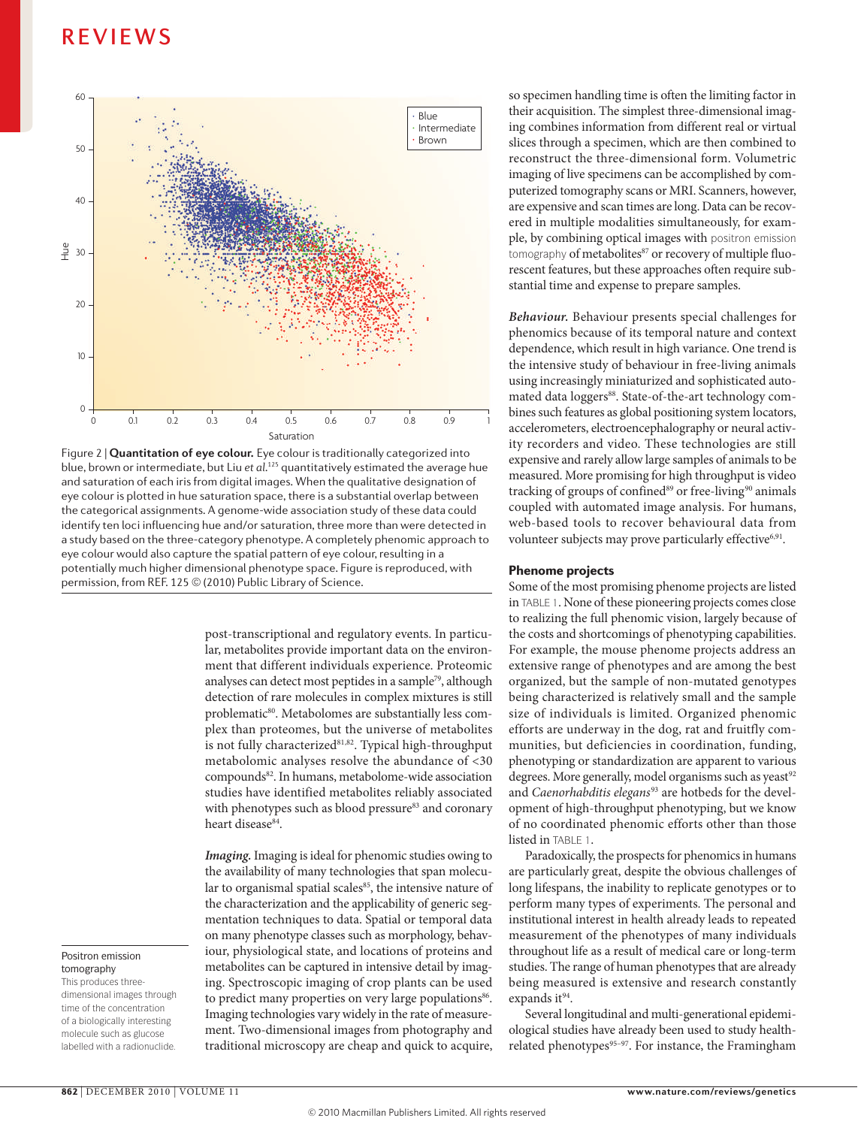

blue, brown or intermediate, but Liu *et al.*<sup>125</sup> quantitatively estimated the average hue Figure 2 | **Quantitation of eye colour.** Eye colour is traditionally categorized into and saturation of each iris from digital images. When the qualitative designation of eye colour is plotted in hue saturation space, there is a substantial overlap between the categorical assignments. A genome-wide association study of these data could identify ten loci influencing hue and/or saturation, three more than were detected in a study based on the three-category phenotype. A completely phenomic approach to eye colour would also capture the spatial pattern of eye colour, resulting in a potentially much higher dimensional phenotype space. Figure is reproduced, with permission, from REF. 125 © (2010) Public Library of Science.

post-transcriptional and regulatory events. In particular, metabolites provide important data on the environment that different individuals experience. Proteomic analyses can detect most peptides in a sample<sup>79</sup>, although detection of rare molecules in complex mixtures is still problematic<sup>80</sup>. Metabolomes are substantially less complex than proteomes, but the universe of metabolites is not fully characterized<sup>81,82</sup>. Typical high-throughput metabolomic analyses resolve the abundance of <30 compounds82. In humans, metabolome-wide association studies have identified metabolites reliably associated with phenotypes such as blood pressure<sup>83</sup> and coronary heart disease<sup>84</sup>.

*Imaging.* Imaging is ideal for phenomic studies owing to the availability of many technologies that span molecular to organismal spatial scales<sup>85</sup>, the intensive nature of the characterization and the applicability of generic segmentation techniques to data. Spatial or temporal data on many phenotype classes such as morphology, behaviour, physiological state, and locations of proteins and metabolites can be captured in intensive detail by imaging. Spectroscopic imaging of crop plants can be used to predict many properties on very large populations<sup>86</sup>. Imaging technologies vary widely in the rate of measurement. Two-dimensional images from photography and traditional microscopy are cheap and quick to acquire, so specimen handling time is often the limiting factor in their acquisition. The simplest three-dimensional imaging combines information from different real or virtual slices through a specimen, which are then combined to reconstruct the three-dimensional form. volumetric imaging of live specimens can be accomplished by computerized tomography scans or MRI. Scanners, however, are expensive and scan times are long. Data can be recovered in multiple modalities simultaneously, for example, by combining optical images with positron emission tomography of metabolites<sup>87</sup> or recovery of multiple fluorescent features, but these approaches often require substantial time and expense to prepare samples.

*Behaviour.* behaviour presents special challenges for phenomics because of its temporal nature and context dependence, which result in high variance. One trend is the intensive study of behaviour in free-living animals using increasingly miniaturized and sophisticated automated data loggers<sup>88</sup>. State-of-the-art technology combines such features as global positioning system locators, accelerometers, electroencephalography or neural activity recorders and video. These technologies are still expensive and rarely allow large samples of animals to be measured. More promising for high throughput is video tracking of groups of confined<sup>89</sup> or free-living<sup>90</sup> animals coupled with automated image analysis. For humans, web-based tools to recover behavioural data from volunteer subjects may prove particularly effective<sup>6,91</sup>.

#### Phenome projects

Some of the most promising phenome projects are listed in TABLE 1. None of these pioneering projects comes close to realizing the full phenomic vision, largely because of the costs and shortcomings of phenotyping capabilities. For example, the mouse phenome projects address an extensive range of phenotypes and are among the best organized, but the sample of non-mutated genotypes being characterized is relatively small and the sample size of individuals is limited. Organized phenomic efforts are underway in the dog, rat and fruitfly communities, but deficiencies in coordination, funding, phenotyping or standardization are apparent to various degrees. More generally, model organisms such as yeast<sup>92</sup> and *Caenorhabditis elegans*93 are hotbeds for the development of high-throughput phenotyping, but we know of no coordinated phenomic efforts other than those listed in TABLE 1.

Paradoxically, the prospects for phenomics in humans are particularly great, despite the obvious challenges of long lifespans, the inability to replicate genotypes or to perform many types of experiments. The personal and institutional interest in health already leads to repeated measurement of the phenotypes of many individuals throughout life as a result of medical care or long-term studies. The range of human phenotypes that are already being measured is extensive and research constantly expands it<sup>94</sup>.

Several longitudinal and multi-generational epidemiological studies have already been used to study healthrelated phenotypes<sup>95-97</sup>. For instance, the Framingham

#### Positron emission tomography

This produces threedimensional images through time of the concentration of a biologically interesting molecule such as glucose labelled with a radionuclide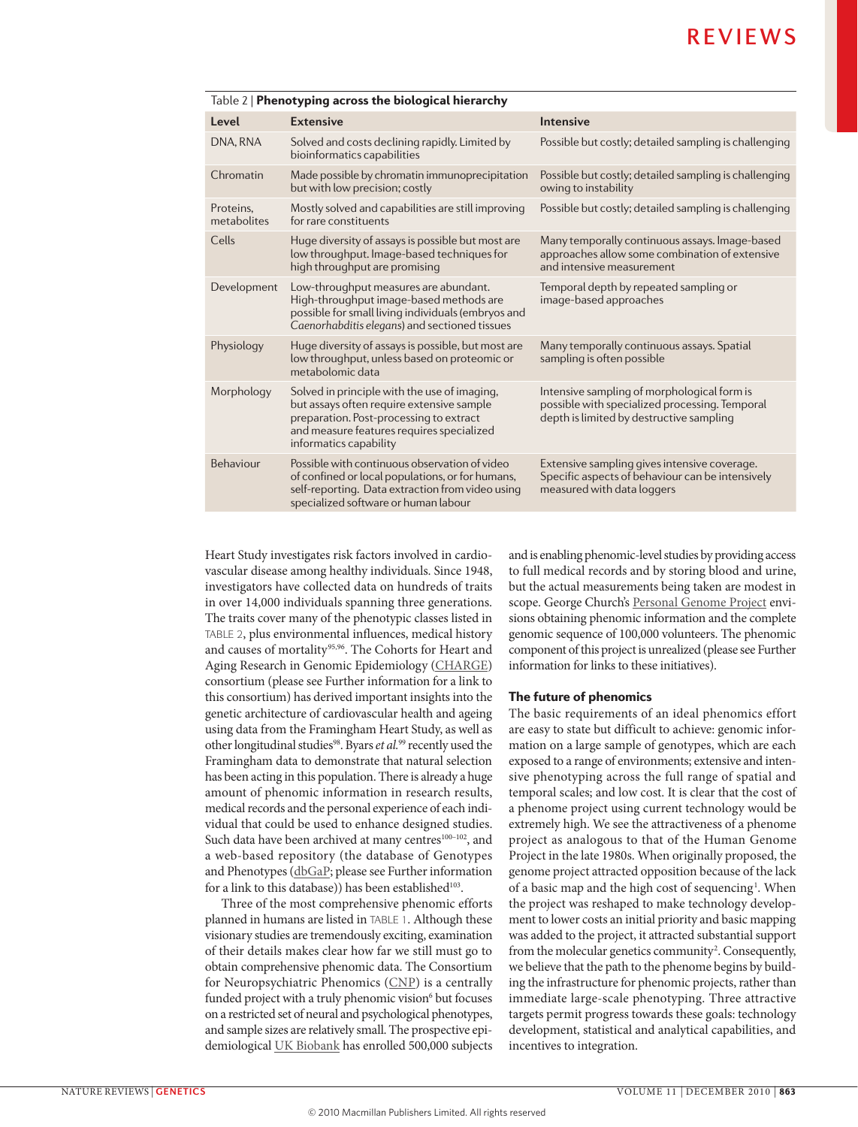| Table 2   Phenotyping across the biological hierarchy |  |  |
|-------------------------------------------------------|--|--|
|                                                       |  |  |

| Level                    | <b>Extensive</b>                                                                                                                                                                                            | <b>Intensive</b>                                                                                                                          |
|--------------------------|-------------------------------------------------------------------------------------------------------------------------------------------------------------------------------------------------------------|-------------------------------------------------------------------------------------------------------------------------------------------|
| DNA, RNA                 | Solved and costs declining rapidly. Limited by<br>bioinformatics capabilities                                                                                                                               | Possible but costly; detailed sampling is challenging                                                                                     |
| Chromatin                | Made possible by chromatin immunoprecipitation<br>but with low precision; costly                                                                                                                            | Possible but costly; detailed sampling is challenging<br>owing to instability                                                             |
| Proteins.<br>metabolites | Mostly solved and capabilities are still improving<br>for rare constituents                                                                                                                                 | Possible but costly; detailed sampling is challenging                                                                                     |
| Cells                    | Huge diversity of assays is possible but most are<br>low throughput. Image-based techniques for<br>high throughput are promising                                                                            | Many temporally continuous assays. Image-based<br>approaches allow some combination of extensive<br>and intensive measurement             |
| Development              | Low-throughput measures are abundant.<br>High-throughput image-based methods are<br>possible for small living individuals (embryos and<br>Caenorhabditis elegans) and sectioned tissues                     | Temporal depth by repeated sampling or<br>image-based approaches                                                                          |
| Physiology               | Huge diversity of assays is possible, but most are<br>low throughput, unless based on proteomic or<br>metabolomic data                                                                                      | Many temporally continuous assays. Spatial<br>sampling is often possible                                                                  |
| Morphology               | Solved in principle with the use of imaging,<br>but assays often require extensive sample<br>preparation. Post-processing to extract<br>and measure features requires specialized<br>informatics capability | Intensive sampling of morphological form is<br>possible with specialized processing. Temporal<br>depth is limited by destructive sampling |
| Behaviour                | Possible with continuous observation of video<br>of confined or local populations, or for humans,<br>self-reporting. Data extraction from video using<br>specialized software or human labour               | Extensive sampling gives intensive coverage.<br>Specific aspects of behaviour can be intensively<br>measured with data loggers            |

Heart Study investigates risk factors involved in cardiovascular disease among healthy individuals. Since 1948, investigators have collected data on hundreds of traits in over 14,000 individuals spanning three generations. The traits cover many of the phenotypic classes listed in TABLE 2, plus environmental influences, medical history and causes of mortality<sup>95,96</sup>. The Cohorts for Heart and Aging Research in Genomic Epidemiology (CHARGE) consortium (please see Further information for a link to this consortium) has derived important insights into the genetic architecture of cardiovascular health and ageing using data from the Framingham Heart Study, as well as other longitudinal studies<sup>98</sup>. Byars *et al.*<sup>99</sup> recently used the Framingham data to demonstrate that natural selection has been acting in this population. There is already a huge amount of phenomic information in research results, medical records and the personal experience of each individual that could be used to enhance designed studies. Such data have been archived at many centres<sup>100-102</sup>, and a web-based repository (the database of Genotypes and Phenotypes [\(dbGaP](http://www.ncbi.nlm.nih.gov/gap); please see Further information for a link to this database)) has been established<sup>103</sup>.

Three of the most comprehensive phenomic efforts planned in humans are listed in TABLE 1. Although these visionary studies are tremendously exciting, examination of their details makes clear how far we still must go to obtain comprehensive phenomic data. The Consortium for Neuropsychiatric Phenomics  $(CNP)$  is a centrally funded project with a truly phenomic vision<sup>6</sup> but focuses on a restricted set of neural and psychological phenotypes, and sample sizes are relatively small. The prospective epidemiological UK Biobank has enrolled 500,000 subjects and is enabling phenomic-level studies by providing access to full medical records and by storing blood and urine, but the actual measurements being taken are modest in scope. George Church's [Personal Genome Project](http://www.personalgenomes.org) envisions obtaining phenomic information and the complete genomic sequence of 100,000 volunteers. The phenomic component of this project is unrealized (please see Further information for links to these initiatives).

#### The future of phenomics

The basic requirements of an ideal phenomics effort are easy to state but difficult to achieve: genomic information on a large sample of genotypes, which are each exposed to a range of environments; extensive and intensive phenotyping across the full range of spatial and temporal scales; and low cost. It is clear that the cost of a phenome project using current technology would be extremely high. We see the attractiveness of a phenome project as analogous to that of the Human Genome Project in the late 1980s. When originally proposed, the genome project attracted opposition because of the lack of a basic map and the high cost of sequencing<sup>1</sup>. When the project was reshaped to make technology development to lower costs an initial priority and basic mapping was added to the project, it attracted substantial support from the molecular genetics community<sup>2</sup>. Consequently, we believe that the path to the phenome begins by building the infrastructure for phenomic projects, rather than immediate large-scale phenotyping. Three attractive targets permit progress towards these goals: technology development, statistical and analytical capabilities, and incentives to integration.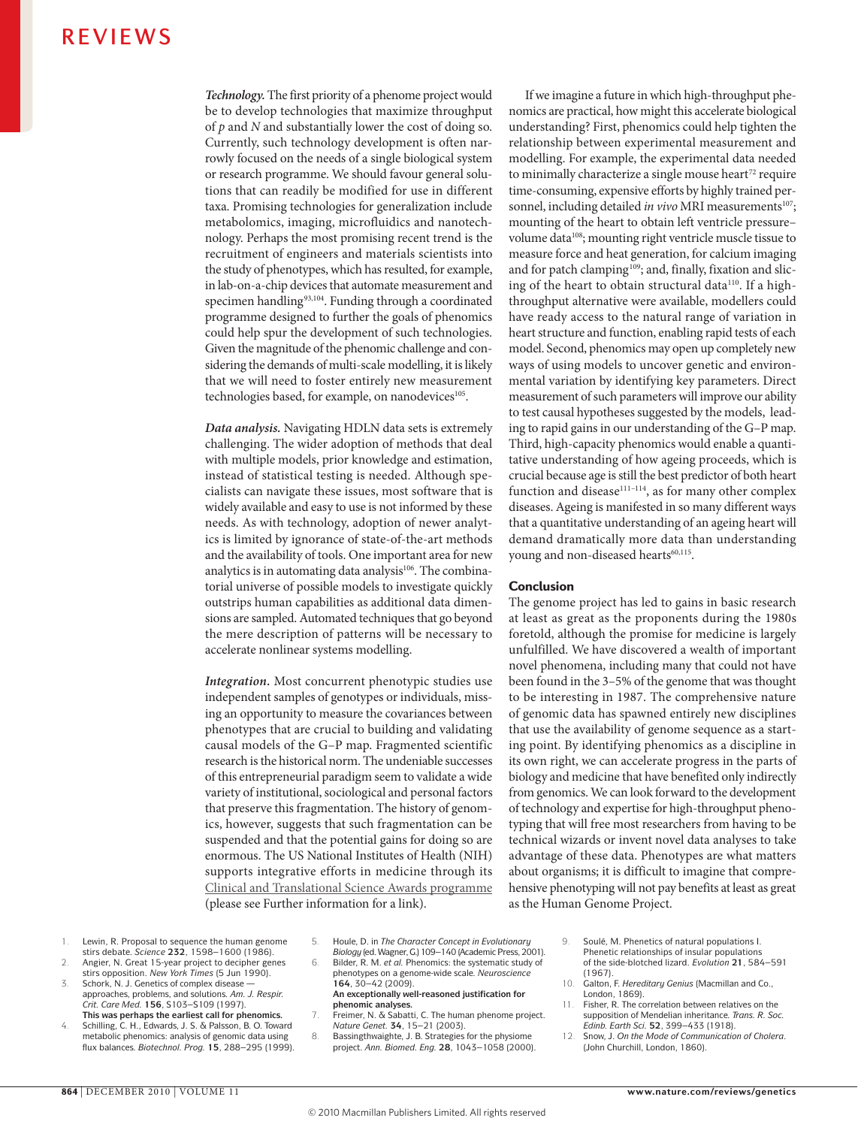*Technology.* The first priority of a phenome project would be to develop technologies that maximize throughput of *p* and *N* and substantially lower the cost of doing so. Currently, such technology development is often narrowly focused on the needs of a single biological system or research programme. We should favour general solutions that can readily be modified for use in different taxa. Promising technologies for generalization include metabolomics, imaging, microfluidics and nanotechnology. Perhaps the most promising recent trend is the recruitment of engineers and materials scientists into the study of phenotypes, which has resulted, for example, in lab-on-a-chip devices that automate measurement and specimen handling<sup>93,104</sup>. Funding through a coordinated programme designed to further the goals of phenomics could help spur the development of such technologies. Given the magnitude of the phenomic challenge and considering the demands of multi-scale modelling, it is likely that we will need to foster entirely new measurement technologies based, for example, on nanodevices<sup>105</sup>.

Data analysis. Navigating HDLN data sets is extremely challenging. The wider adoption of methods that deal with multiple models, prior knowledge and estimation, instead of statistical testing is needed. Although specialists can navigate these issues, most software that is widely available and easy to use is not informed by these needs. As with technology, adoption of newer analytics is limited by ignorance of state-of-the-art methods and the availability of tools. One important area for new analytics is in automating data analysis<sup>106</sup>. The combinatorial universe of possible models to investigate quickly outstrips human capabilities as additional data dimensions are sampled. Automated techniques that go beyond the mere description of patterns will be necessary to accelerate nonlinear systems modelling.

*Integration.* Most concurrent phenotypic studies use independent samples of genotypes or individuals, missing an opportunity to measure the covariances between phenotypes that are crucial to building and validating causal models of the G–P map. Fragmented scientific research is the historical norm. The undeniable successes of this entrepreneurial paradigm seem to validate a wide variety of institutional, sociological and personal factors that preserve this fragmentation. The history of genomics, however, suggests that such fragmentation can be suspended and that the potential gains for doing so are enormous. The US National Institutes of Health (NIH) supports integrative efforts in medicine through its [Clinical and Translational Science Awards programme](http://www.ctsaweb.org) (please see Further information for a link).

If we imagine a future in which high-throughput phenomics are practical, how might this accelerate biological understanding? First, phenomics could help tighten the relationship between experimental measurement and modelling. For example, the experimental data needed to minimally characterize a single mouse heart<sup>72</sup> require time-consuming, expensive efforts by highly trained personnel, including detailed *in vivo* MRI measurements<sup>107</sup>; mounting of the heart to obtain left ventricle pressure– volume data108; mounting right ventricle muscle tissue to measure force and heat generation, for calcium imaging and for patch clamping<sup>109</sup>; and, finally, fixation and slicing of the heart to obtain structural data<sup>110</sup>. If a highthroughput alternative were available, modellers could have ready access to the natural range of variation in heart structure and function, enabling rapid tests of each model. Second, phenomics may open up completely new ways of using models to uncover genetic and environmental variation by identifying key parameters. Direct measurement of such parameters will improve our ability to test causal hypotheses suggested by the models, leading to rapid gains in our understanding of the G–P map. Third, high-capacity phenomics would enable a quantitative understanding of how ageing proceeds, which is crucial because age is still the best predictor of both heart function and disease<sup>111-114</sup>, as for many other complex diseases. Ageing is manifested in so many different ways that a quantitative understanding of an ageing heart will demand dramatically more data than understanding young and non-diseased hearts<sup>60,115</sup>.

#### **Conclusion**

The genome project has led to gains in basic research at least as great as the proponents during the 1980s foretold, although the promise for medicine is largely unfulfilled. We have discovered a wealth of important novel phenomena, including many that could not have been found in the 3–5% of the genome that was thought to be interesting in 1987. The comprehensive nature of genomic data has spawned entirely new disciplines that use the availability of genome sequence as a starting point. by identifying phenomics as a discipline in its own right, we can accelerate progress in the parts of biology and medicine that have benefited only indirectly from genomics. We can look forward to the development of technology and expertise for high-throughput phenotyping that will free most researchers from having to be technical wizards or invent novel data analyses to take advantage of these data. Phenotypes are what matters about organisms; it is difficult to imagine that comprehensive phenotyping will not pay benefits at least as great as the Human Genome Project.

- 1. Lewin, R. Proposal to sequence the human genome stirs debate. *Science* **232**, 1598–1600 (1986).
- 2. Angier, N. Great 15-year project to decipher genes stirs opposition. *New York Times* (5 Jun 1990).
- 3. Schork, N. J. Genetics of complex disease approaches, problems, and solutions. *Am. J. Respir. Crit. Care Med.* **156**, S103–S109 (1997). **This was perhaps the earliest call for phenomics.**
- 4. Schilling, C. H., Edwards, J. S. & Palsson, B. O. Toward metabolic phenomics: analysis of genomic data using flux balances. *Biotechnol. Prog.* **15**, 288–295 (1999).
- 5. Houle, D. in *The Character Concept in Evolutionary*
- *Biology* (ed. Wagner, G.) 109–140 (Academic Press, 2001). 6. Bilder, R. M. *et al.* Phenomics: the systematic study of phenotypes on a genome-wide scale. *Neuroscience* **164**, 30–42 (2009).

**An exceptionally well-reasoned justification for phenomic analyses.**

- 7. Freimer, N. & Sabatti, C. The human phenome project. *Nature Genet.* **34**, 15–21 (2003).
- Bassingthwaighte, J. B. Strategies for the physiome project. *Ann. Biomed. Eng.* **28**, 1043–1058 (2000).
- 9. Soulé, M. Phenetics of natural populations I. Phenetic relationships of insular populations of the side-blotched lizard. *Evolution* **21**, 584–591 (1967).
- 10. Galton, F. *Hereditary Genius* (Macmillan and Co., London, 1869).
- 11. Fisher, R. The correlation between relatives on the supposition of Mendelian inheritance. *Trans. R. Soc. Edinb. Earth Sci.* **52**, 399–433 (1918).
- 12. Snow, J. *On the Mode of Communication of Cholera*. (John Churchill, London, 1860).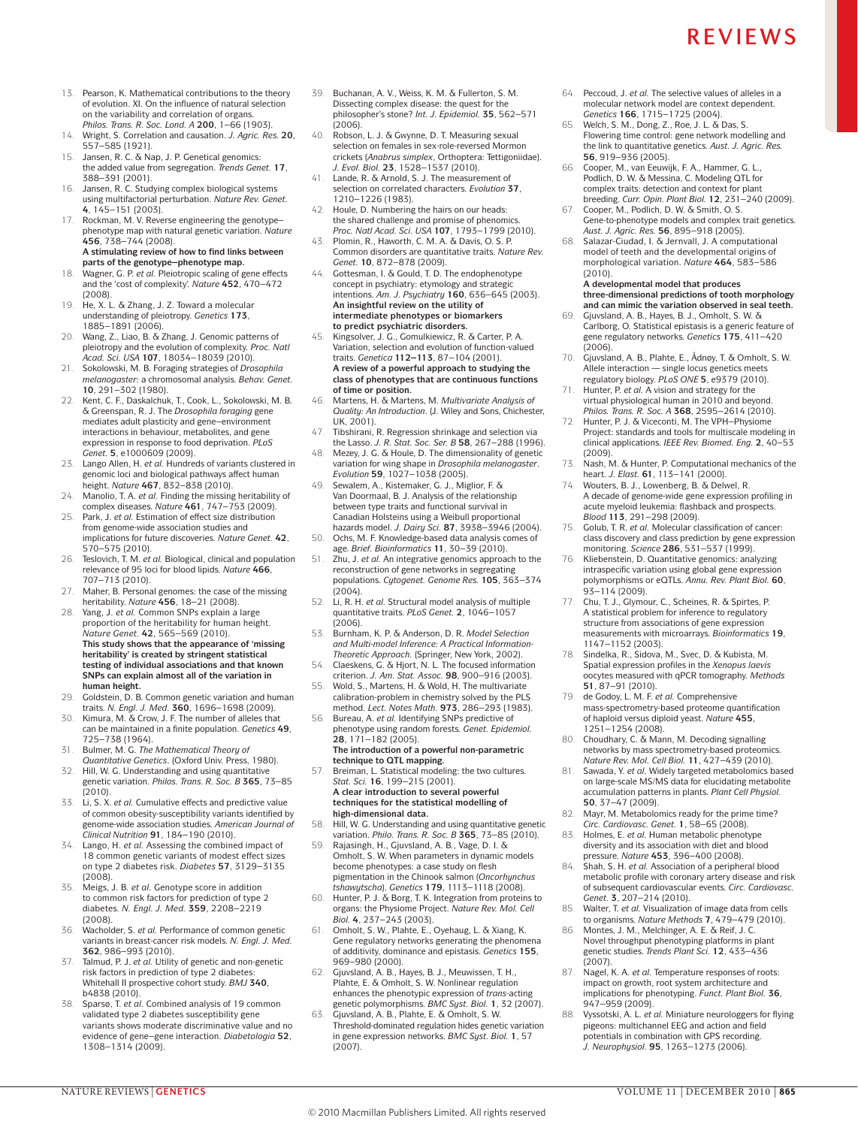- 13. Pearson, K. Mathematical contributions to the theory of evolution. XI. On the influence of natural selection on the variability and correlation of organs. *Philos. Trans. R. Soc. Lond. A* **200**, 1–66 (1903).
- 14. Wright, S. Correlation and causation. *J. Agric. Res.* **20**, 557–585 (1921).
- 15. Jansen, R. C. & Nap, J. P. Genetical genomics: the added value from segregation. *Trends Genet.* **17**, 388–391 (2001).
- 16. Jansen, R. C. Studying complex biological systems using multifactorial perturbation. *Nature Rev. Genet.* **4**, 145–151 (2003).
- 17. Rockman, M. V. Reverse engineering the genotype– phenotype map with natural genetic variation. *Nature* **456**, 738–744 (2008). **A stimulating review of how to find links between**

### **parts of the genotype–phenotype map.**

- 18. Wagner, G. P. *et al.* Pleiotropic scaling of gene effects and the 'cost of complexity'. *Nature* **452**, 470–472 (2008).
- 19. He, X. L. & Zhang, J. Z. Toward a molecular understanding of pleiotropy. *Genetics* **173**, 1885–1891 (2006).
- 20. Wang, Z., Liao, B. & Zhang, J. Genomic patterns of pleiotropy and the evolution of complexity. *Proc. Natl Acad. Sci. USA* **107**, 18034–18039 (2010).
- 21. Sokolowski, M. B. Foraging strategies of *Drosophila melanogaster*: a chromosomal analysis. *Behav. Genet.* **10**, 291–302 (1980).
- 22. Kent, C. F., Daskalchuk, T., Cook, L., Sokolowski, M. B. & Greenspan, R. J. The *Drosophila foraging* gene mediates adult plasticity and gene–environment interactions in behaviour, metabolites, and gene expression in response to food deprivation. *PLoS Genet.* **5**, e1000609 (2009).
- 23. Lango Allen, H. *et al.* Hundreds of variants clustered in genomic loci and biological pathways affect human height. *Nature* **467**, 832–838 (2010).
- 24. Manolio, T. A. *et al.* Finding the missing heritability of complex diseases. *Nature* **461**, 747–753 (2009).
- 25. Park, J. *et al.* Estimation of effect size distribution from genome-wide association studies and implications for future discoveries. *Nature Genet.* **42**, 570–575 (2010).
- 26. Teslovich, T. M. *et al.* Biological, clinical and population relevance of 95 loci for blood lipids. *Nature* **466**, 707–713 (2010).
- 27. Maher, B. Personal genomes: the case of the missing heritability. *Nature* **456**, 18–21 (2008).
- Yang, J. et al. Common SNPs explain a large proportion of the heritability for human height. *Nature Genet.* **42**, 565–569 (2010). **This study shows that the appearance of 'missing heritability' is created by stringent statistical testing of individual associations and that known SNPs can explain almost all of the variation in human height.**
- 29. Goldstein, D. B. Common genetic variation and human traits. *N. Engl. J. Med.* **360**, 1696–1698 (2009).
- 30. Kimura, M. & Crow, J. F. The number of alleles that can be maintained in a finite population. *Genetics* **49**, 725–738 (1964).
- 31. Bulmer, M. G. *The Mathematical Theory of*
- *Quantitative Genetics*. (Oxford Univ. Press, 1980). 32. Hill, W. G. Understanding and using quantitative genetic variation. *Philos. Trans. R. Soc. B* **365**, 73–85  $(2010)$
- 33. Li, S. X. *et al.* Cumulative effects and predictive value of common obesity-susceptibility variants identified by genome-wide association studies. *American Journal of Clinical Nutrition* **91**, 184–190 (2010).
- Lango, H. et al. Assessing the combined impact of 18 common genetic variants of modest effect sizes on type 2 diabetes risk. *Diabetes* **57**, 3129–3135 (2008).
- 35. Meigs, J. B. *et al.* Genotype score in addition to common risk factors for prediction of type 2 diabetes. *N. Engl. J. Med.* **359**, 2208–2219 (2008).
- 36. Wacholder, S. *et al.* Performance of common genetic variants in breast-cancer risk models. *N. Engl. J. Med.* **362**, 986–993 (2010).
- 37. Talmud, P. J. *et al.* Utility of genetic and non-genetic risk factors in prediction of type 2 diabetes: Whitehall II prospective cohort study. *BMJ* **340**, b4838 (2010).
- 38. Sparsø, T. *et al.* Combined analysis of 19 common validated type 2 diabetes susceptibility gene variants shows moderate discriminative value and no evidence of gene–gene interaction. *Diabetologia* **52**, 1308–1314 (2009).
- 39. Buchanan, A. V., Weiss, K. M. & Fullerton, S. M. Dissecting complex disease: the quest for the philosopher's stone? *Int. J. Epidemiol.* **35**, 562–571 (2006).
- 40. Robson, L. J. & Gwynne, D. T. Measuring sexual selection on females in sex-role-reversed Mormon crickets (*Anabrus simplex*, Orthoptera: Tettigoniidae). *J. Evol. Biol.* **23**, 1528–1537 (2010).
- 41. Lande, R. & Arnold, S. J. The measurement of selection on correlated characters. *Evolution* **37**, 1210–1226 (1983).
- 42. Houle, D. Numbering the hairs on our heads: the shared challenge and promise of phenomics. *Proc. Natl Acad. Sci. USA* **107**, 1793–1799 (2010).
- 43. Plomin, R., Haworth, C. M. A. & Davis, O. S. P. Common disorders are quantitative traits. *Nature Rev. Genet.* **10**, 872–878 (2009).
- 44. Gottesman, I. & Gould, T. D. The endophenotype concept in psychiatry: etymology and strategic intentions. *Am. J. Psychiatry* **160**, 636–645 (2003). **An insightful review on the utility of intermediate phenotypes or biomarkers to predict psychiatric disorders.**
- 45. Kingsolver, J. G., Gomulkiewicz, R. & Carter, P. A. Variation, selection and evolution of function-valued traits. *Genetica* **112–113**, 87–104 (2001). **A review of a powerful approach to studying the class of phenotypes that are continuous functions of time or position.**
- 46. Martens, H. & Martens, M. *Multivariate Analysis of Quality: An Introduction*. (J. Wiley and Sons, Chichester, UK, 2001).
- 47. Tibshirani, R. Regression shrinkage and selection via the Lasso. *J. R. Stat. Soc. Ser. B* **58**, 267–288 (1996).
- 48. Mezey, J. G. & Houle, D. The dimensionality of genetic variation for wing shape in *Drosophila melanogaster*. *Evolution* **59**, 1027–1038 (2005). 49. Sewalem, A., Kistemaker, G. J., Miglior, F. &
- Van Doormaal, B. J. Analysis of the relationship between type traits and functional survival in Canadian Holsteins using a Weibull proportional
- hazards model. *J. Dairy Sci.* **87**, 3938–3946 (2004). 50. Ochs, M. F. Knowledge-based data analysis comes of age. *Brief. Bioinformatics* **11**, 30–39 (2010).
- 51. Zhu, J. *et al.* An integrative genomics approach to the reconstruction of gene networks in segregating populations. *Cytogenet. Genome Res.* **105**, 363–374  $(2004)$
- 52. Li, R. H. *et al.* Structural model analysis of multiple quantitative traits. *PLoS Genet.* **2**, 1046–1057 (2006).
- 53. Burnham, K. P. & Anderson, D. R. *Model Selection and Multi‑model Inference: A Practical Information‑ Theoretic Approach.* (Springer, New York, 2002).
- 54. Claeskens, G. & Hjort, N. L. The focused information criterion. *J. Am. Stat. Assoc.* **98**, 900–916 (2003).
- 55. Wold, S., Martens, H. & Wold, H. The multivariate calibration-problem in chemistry solved by the PLS method. *Lect. Notes Math.* **973**, 286–293 (1983).
- 56. Bureau, A. *et al.* Identifying SNPs predictive of phenotype using random forests. *Genet. Epidemiol.* **28**, 171–182 (2005).

**The introduction of a powerful non-parametric technique to QTL mapping.**<br>
57. Breiman, L. Statistical modeling: the two cultures.

- *Stat. Sci.* **16**, 199–215 (2001). **A clear introduction to several powerful techniques for the statistical modelling of high-dimensional data.**
- 58. Hill, W. G. Understanding and using quantitative genetic variation. *Philo. Trans. R. Soc. B* **365**, 73–85 (2010).
- 59. Rajasingh, H., Gjuvsland, A. B., Vage, D. I. & Omholt, S. W. When parameters in dynamic models become phenotypes: a case study on flesh pigmentation in the Chinook salmon (*Oncorhynchus tshawytscha*). *Genetics* **179**, 1113–1118 (2008).
- 60. Hunter, P. J. & Borg, T. K. Integration from proteins to organs: the Physiome Project. *Nature Rev. Mol. Cell Biol.* **4**, 237–243 (2003).
- 61. Omholt, S. W., Plahte, E., Oyehaug, L. & Xiang, K. Gene regulatory networks generating the phenomena of additivity, dominance and epistasis. *Genetics* **155**, 969–980 (2000).
- 62. Gjuvsland, A. B., Hayes, B. J., Meuwissen, T. H., Plahte, E. & Omholt, S. W. Nonlinear regulation enhances the phenotypic expression of *trans*-acting genetic polymorphisms. *BMC Syst. Biol.* **1**, 32 (2007).
- 63. Gjuvsland, A. B., Plahte, E. & Omholt, S. W. Threshold-dominated regulation hides genetic variation in gene expression networks. *BMC Syst. Biol.* **1**, 57 (2007).
- 64. Peccoud, J. *et al.* The selective values of alleles in a molecular network model are context dependent. *Genetics* **166**, 1715–1725 (2004).
- 65. Welch, S. M., Dong, Z., Roe, J. L. & Das, S. Flowering time control: gene network modelling and the link to quantitative genetics. *Aust. J. Agric. Res.* **56**, 919–936 (2005).
- 66. Cooper, M., van Eeuwijk, F. A., Hammer, G. L., Podlich, D. W. & Messina, C. Modeling QTL for complex traits: detection and context for plant breeding. *Curr. Opin. Plant Biol.* **12**, 231–240 (2009).
- 67. Cooper, M., Podlich, D. W. & Smith, O. S. Gene-to-phenotype models and complex trait genetics. *Aust. J. Agric. Res.* **56**, 895–918 (2005).
- 68. Salazar-Ciudad, I. & Jernvall, J. A computational model of teeth and the developmental origins of morphological variation. *Nature* **464**, 583–586 (2010).

#### **A developmental model that produces three-dimensional predictions of tooth morphology and can mimic the variation observed in seal teeth.**

- 69. Gjuvsland, A. B., Hayes, B. J., Omholt, S. W. & Carlborg, O. Statistical epistasis is a generic feature of gene regulatory networks. *Genetics* **175**, 411–420 (2006).
- 70. Gjuvsland, A. B., Plahte, E., Ådnøy, T. & Omholt, S. W. Allele interaction single locus genetics meets regulatory biology. *PLoS ONE* **5**, e9379 (2010).
- 71. Hunter, P. *et al.* A vision and strategy for the virtual physiological human in 2010 and beyond. *Philos. Trans. R. Soc. A* **368**, 2595–2614 (2010).
- 72. Hunter, P. J. & Viceconti, M. The VPH–Physiome Project: standards and tools for multiscale modeling in clinical applications. *IEEE Rev. Biomed. Eng.* **2**, 40–53 (2009).
- 73. Nash, M. & Hunter, P. Computational mechanics of the heart. *J. Elast.* **61**, 113–141 (2000). 74. Wouters, B. J., Lowenberg, B. & Delwel, R.
- A decade of genome-wide gene expression profiling in acute myeloid leukemia: flashback and prospects. *Blood* **113**, 291–298 (2009).
- 75. Golub, T. R. *et al.* Molecular classification of cancer: class discovery and class prediction by gene expression monitoring. *Science* **286**, 531–537 (1999).
- 76. Kliebenstein, D. Quantitative genomics: analyzing intraspecific variation using global gene expression polymorphisms or eQTLs. *Annu. Rev. Plant Biol.* **60**,
- 93–114 (2009). 77. Chu, T. J., Glymour, C., Scheines, R. & Spirtes, P. A statistical problem for inference to regulatory structure from associations of gene expression measurements with microarrays. *Bioinformatics* **19**,
- 1147–1152 (2003). 78. Sindelka, R., Sidova, M., Svec, D. & Kubista, M. Spatial expression profiles in the *Xenopus laevis* oocytes measured with qPCR tomography. *Methods* **51**, 87–91 (2010).
- 79. de Godoy, L. M. F. *et al.* Comprehensive mass-spectrometry-based proteome quantification of haploid versus diploid yeast. *Nature* **455**, 1251–1254 (2008).
- 80. Choudhary, C. & Mann, M. Decoding signalling networks by mass spectrometry-based proteomics.
- *Nature Rev. Mol. Cell Biol.* **11**, 427–439 (2010). 81. Sawada, Y. *et al.* Widely targeted metabolomics based on large-scale MS/MS data for elucidating metabolite accumulation patterns in plants. *Plant Cell Physiol.* **50**, 37–47 (2009).
- 82. Mayr, M. Metabolomics ready for the prime time? *Circ. Cardiovasc. Genet.* **1**, 58–65 (2008).
- 83. Holmes, E. *et al.* Human metabolic phenotype diversity and its association with diet and blood pressure. *Nature* **453**, 396–400 (2008).
- 84. Shah, S. H. *et al.* Association of a peripheral blood metabolic profile with coronary artery disease and risk of subsequent cardiovascular events. *Circ. Cardiovasc. Genet.* **3**, 207–214 (2010).
- Walter, T. *et al.* Visualization of image data from cells to organisms. *Nature Methods* **7**, 479–479 (2010).
- 86. Montes, J. M., Melchinger, A. E. & Reif, J. C. Novel throughput phenotyping platforms in plant genetic studies. *Trends Plant Sci.* **12**, 433–436 (2007).
- 87. Nagel, K. A. *et al.* Temperature responses of roots: impact on growth, root system architecture and implications for phenotyping. *Funct. Plant Biol.* **36**, 947–959 (2009).
- 88. Vyssotski, A. L. *et al.* Miniature neurologgers for flying pigeons: multichannel EEG and action and field potentials in combination with GPS recording. *J. Neurophysiol.* **95**, 1263–1273 (2006).